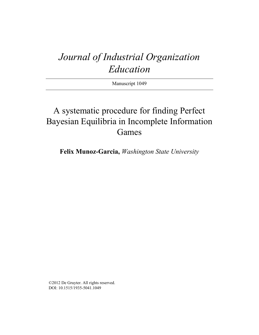# *Journal of Industrial Organization Education*

Manuscript 1049

# A systematic procedure for finding Perfect Bayesian Equilibria in Incomplete Information Games

**Felix Munoz-Garcia,** *Washington State University*

©2012 De Gruyter. All rights reserved. DOI: 10.1515/1935-5041.1049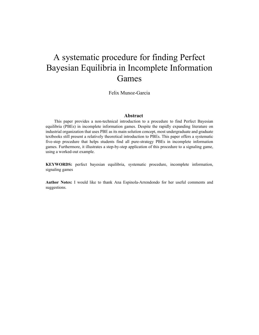# A systematic procedure for finding Perfect Bayesian Equilibria in Incomplete Information Games

Felix Munoz-Garcia

#### **Abstract**

This paper provides a non-technical introduction to a procedure to find Perfect Bayesian equilibria (PBEs) in incomplete information games. Despite the rapidly expanding literature on industrial organization that uses PBE as its main solution concept, most undergraduate and graduate textbooks still present a relatively theoretical introduction to PBEs. This paper offers a systematic five-step procedure that helps students find all pure-strategy PBEs in incomplete information games. Furthermore, it illustrates a step-by-step application of this procedure to a signaling game, using a worked-out example.

**KEYWORDS:** perfect bayesian equilibria, systematic procedure, incomplete information, signaling games

**Author Notes:** I would like to thank Ana Espinola-Arrendondo for her useful comments and suggestions.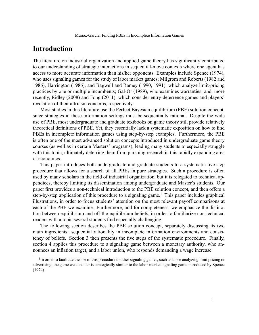## Introduction

The literature on industrial organization and applied game theory has significantly contributed to our understanding of strategic interactions in sequential-move contexts where one agent has access to more accurate information than his/her opponents. Examples include Spence (1974), who uses signaling games for the study of labor market games; Milgrom and Roberts (1982 and 1986), Harrington (1986), and Bagwell and Ramey (1990, 1991), which analyze limit-pricing practices by one or multiple incumbents; Gal-Or (1989), who examines warranties; and, more recently, Ridley (2008) and Fong (2011), which consider entry-deterrence games and players' revelation of their altruism concerns, respectively.

Most studies in this literature use the Perfect Bayesian equilibrium (PBE) solution concept, since strategies in these information settings must be sequentially rational. Despite the wide use of PBE, most undergraduate and graduate textbooks on game theory still provide relatively theoretical definitions of PBE. Yet, they essentially lack a systematic exposition on how to find PBEs in incomplete information games using step-by-step examples. Furthermore, the PBE is often one of the most advanced solution concepts introduced in undergraduate game theory courses (as well as in certain Masters' programs), leading many students to especially struggle with this topic, ultimately deterring them from pursuing research in this rapidly expanding area of economics.

This paper introduces both undergraduate and graduate students to a systematic five-step procedure that allows for a search of all PBEs in pure strategies. Such a procedure is often used by many scholars in the field of industrial organization, but it is relegated to technical appendices, thereby limiting its dissemination among undergraduate and Master's students. Our paper first provides a non-technical introduction to the PBE solution concept, and then offers a step-by-step application of this procedure to a signaling game.<sup>1</sup> This paper includes graphical illustrations, in order to focus students' attention on the most relevant payoff comparisons at each of the PBE we examine. Furthermore, and for completeness, we emphasize the distinction between equilibrium and off-the-equilibrium beliefs, in order to familiarize non-technical readers with a topic several students find especially challenging.

The following section describes the PBE solution concept, separately discussing its two main ingredients: sequential rationality in incomplete information environments and consistency of beliefs. Section 3 then presents the five steps of the systematic procedure. Finally, section 4 applies this procedure to a signaling game between a monetary authority, who announces an inflation target, and a labor union, who responds demanding a wage increase.

<sup>&</sup>lt;sup>1</sup>In order to facilitate the use of this procedure to other signaling games, such as those analyzing limit pricing or advertising, the game we consider is strategically similar to the labor-market signaling game introduced by Spence (1974).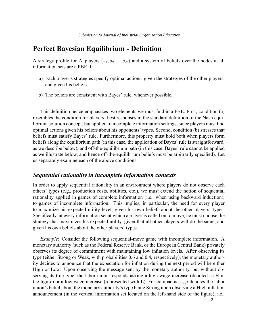## Perfect Bayesian Equilibrium - Definition

A strategy profile for N players  $(s_1, s_2, ..., s_N)$  and a system of beliefs over the nodes at all information sets are a PBE if:

- a) Each player's strategies specify optimal actions, given the strategies of the other players, and given his beliefs.
- b) The beliefs are consistent with Bayes' rule, whenever possible.

This definition hence emphasizes two elements we must find in a PBE. First, condition (a) resembles the condition for players' best responses in the standard definition of the Nash equilibrium solution concept, but applied to incomplete information settings, since players must find optimal actions given his beliefs about his opponents' types. Second, condition (b) stresses that beliefs must satisfy Bayes' rule. Furthermore, this property must hold both when players form beliefs along the equilibrium path (in this case, the application of Bayes' rule is straightforward, as we describe below), and off-the-equilibrium path (in this case, Bayes' rule cannot be applied as we illustrate below, and hence off-the-equilibrium beliefs must be arbitrarily specified). Let us separately examine each of the above conditions.

#### Sequential rationality in incomplete information contexts

In order to apply sequential rationality in an environment where players do not observe each others' types (e.g., production costs, abilities, etc.), we must extend the notion of sequential rationality applied in games of complete information (i.e., when using backward induction), to games of incomplete information. This implies, in particular, the need for every player to maximize his expected utility level, given his own beliefs about the other players' types. Specifically, at every information set at which a player is called on to move, he must choose the strategy that maximizes his expected utility, given that all other players will do the same, and given his own beliefs about the other players' types.

Example: Consider the following sequential-move game with incomplete information. A monetary authority (such as the Federal Reserve Bank, or the European Central Bank) privately observes its degree of commitment with maintaining low inflation levels. After observing its type (either Strong or Weak, with probabilities 0.6 and 0.4, respectively), the monetary authority decides to announce that the expectation for inflation during the next period will be either High or Low. Upon observing the message sent by the monetary authority, but without observing its true type, the labor union responds asking a high wage increase (denoted as H in the figure) or a low wage increase (represented with L). For compactness,  $\mu$  denotes the labor union's belief about the monetary authority's type being Strong upon observing a High inflation announcement (in the vertical information set located on the left-hand side of the figure), i.e.,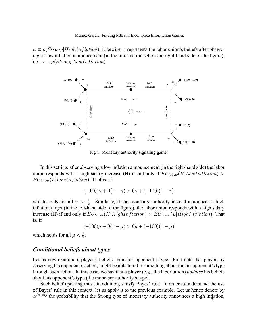$\mu \equiv \mu(Strong|HighInflation)$ . Likewise,  $\gamma$  represents the labor union's beliefs after observing a Low inflation announcement (in the information set on the right-hand side of the figure), i.e.,  $\gamma \equiv \mu(Strong|LowInflation)$ .



Fig 1. Monetary authority signaling game.

In this setting, after observing a low inflation announcement (in the right-hand side) the labor union responds with a high salary increase (H) if and only if  $EU_{Labor}(H|LowInflation) >$  $EU_{Labor}(L|LowInflation)$ . That is, if

$$
(-100)\gamma + 0(1 - \gamma) > 0\gamma + (-100)(1 - \gamma)
$$

which holds for all  $\gamma < \frac{1}{2}$ . Similarly, if the monetary authority instead announces a high inflation target (in the left-hand side of the figure), the labor union responds with a high salary increase (H) if and only if  $EU_{Labor}(H|HighInflation) > EU_{Labor}(L|HighInflation)$ . That is, if

$$
(-100)\mu + 0(1 - \mu) > 0\mu + (-100)(1 - \mu)
$$

which holds for all  $\mu < \frac{1}{2}$ .

#### Conditional beliefs about types

Let us now examine a player's beliefs about his opponent's type. First note that player, by observing his opponent's action, might be able to infer something about the his opponent's type through such action. In this case, we say that a player (e.g., the labor union) *updates* his beliefs about his opponent's type (the monetary authority's type).

Such belief updating must, in addition, satisfy Bayes' rule. In order to understand the use of Bayes' rule in this context, let us apply it to the previous example. Let us hence denote by  $\alpha^{Strong}$  the probability that the Strong type of monetary authority announces a high inflation,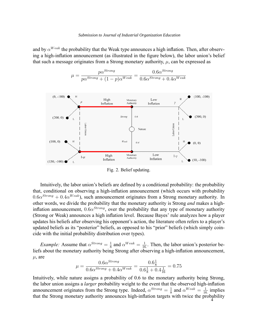and by  $\alpha^{Weak}$  the probability that the Weak type announces a high inflation. Then, after observing a high-inflation announcement (as illustrated in the figure below), the labor union's belief that such a message originates from a Strong monetary authority,  $\mu$ , can be expressed as

$$
\mu = \frac{p\alpha^{Strong}}{p\alpha^{Strong} + (1-p)\alpha^{Weak}} = \frac{0.6\alpha^{Strong}}{0.6\alpha^{Strong} + 0.4\alpha^{Weak}}
$$



Fig. 2. Belief updating.

Intuitively, the labor union's beliefs are defined by a conditional probability: the probability that, conditional on observing a high-inflation announcement (which occurs with probability  $0.6\alpha^{Strong} + 0.4\alpha^{Weak}$ ), such announcement originates from a Strong monetary authority. In other words, we divide the probability that the monetary authority is Strong and makes a highinflation announcement,  $0.6\alpha^{Strong}$ , over the probability that any type of monetary authority (Strong or Weak) announces a high inflation level. Because Bayes' rule analyzes how a player updates his beliefs after observing his opponent's action, the literature often refers to a player's updated beliefs as its "posterior" beliefs, as opposed to his "prior" beliefs (which simply coincide with the initial probability distribution over types).

*Example:* Assume that  $\alpha^{Strong} = \frac{1}{8}$  $\frac{1}{8}$  and  $\alpha^{Weak} = \frac{1}{16}$  $\frac{1}{16}$ . Then, the labor union's posterior beliefs about the monetary authority being Strong after observing a high-inflation announcement,  $\mu$ , are

$$
\mu = \frac{0.6 \alpha^{Strong}}{0.6 \alpha^{Strong} + 0.4 \alpha^{Weak}} = \frac{0.6 \frac{1}{8}}{0.6 \frac{1}{8} + 0.4 \frac{1}{16}} = 0.75
$$

Intuitively, while nature assigns a probability of 0.6 to the monetary authority being Strong, the labor union assigns a *larger* probability weight to the event that the observed high-inflation announcement originates from the Strong type. Indeed,  $\alpha^{Strong} = \frac{1}{8}$  and  $\alpha^{Weak} = \frac{1}{16}$  implies that the Strong monetary authority announces high-inflation targets with twice the probability  $4^{4}$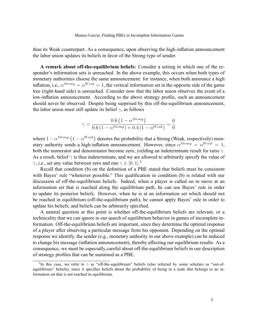than its Weak counterpart. As a consequence, upon observing the high-inflation announcement the labor union updates its beliefs in favor of the Strong type of sender.

A remark about off-the-equilibrium beliefs: Consider a setting in which one of the responder's information sets is unreached. In the above example, this occurs when both types of monetary authorities choose the same announcement: for instance, when both announce a high inflation, i.e.,  $\alpha^{Strong} = \alpha^{Weak} = 1$ , the vertical information set in the opposite side of the game tree (right-hand side) is unreached. Consider now that the labor union observes the event of a low-inflation announcement. According to the above strategy profile, such an announcement should never be observed. Despite being surprised by this off-the-equilibrium announcement, the labor union must still update its belief  $\gamma$ , as follows

$$
\gamma = \frac{0.6\left(1 - \alpha^{Strong}\right)}{0.6\left(1 - \alpha^{Strong}\right) + 0.4\left(1 - \alpha^{Weak}\right)} = \frac{0}{0}
$$

where  $1 - \alpha^{Strong} (1 - \alpha^{Weak})$  denotes the probability that a Strong (Weak, respectively) monetary authority sends a high-inflation announcement. However, since  $\alpha^{Strong} = \alpha^{Weak} = 1$ , both the numerator and denominator become zero, yielding an indeterminate result for ratio  $\gamma$ . As a result, belief  $\gamma$  is thus indeterminate, and we are allowed to arbitrarily specify the value of  $\gamma$ , i.e., set any value between zero and one  $\gamma \in [0, 1]$ .<sup>2</sup>

Recall that condition (b) on the definition of a PBE stated that beliefs must be consistent with Bayes' rule "whenever possible." This qualification in condition (b) is related with our discussion of off-the-equilibrium beliefs. Indeed, when a player is called on to move at an information set that is reached along the equilibrium path, he can use Bayes' rule in order to update its posterior beliefs. However, when he is at an information set which should not be reached in equilibrium (off-the-equilibrium path), he cannot apply Bayes' rule in order to update his beliefs; and beliefs can be arbitrarily specified.

A natural question at this point is whether off-the-equilibrium beliefs are relevant, or a technicality that we can ignore in our search of equilibrium behavior in games of incomplete information. Off-the-equilibrium beliefs are important, since they determine the optimal response of a player after observing a particular message from his opponent. Depending on the optimal response we identify, the sender (e.g., monetary authority in our above example) can be induced to change his message (inflation announcement), thereby affecting our equilibrium results. As a consequence, we must be especially careful about off-the-equilibrium beliefs in our description of strategy profiles that can be sustained as a PBE.

<sup>&</sup>lt;sup>2</sup>In this case, we refer to  $\gamma$  as "off-the-equilibrium" beliefs (also referred by some scholars as "out-ofequilibrium" beliefs), since it specifies beliefs about the probability of being in a node that belongs to an information set that is not reached in equilibrium.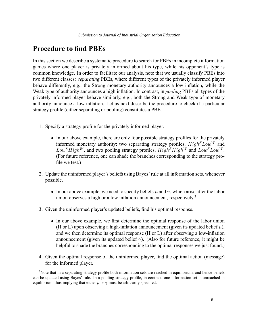## Procedure to find PBEs

In this section we describe a systematic procedure to search for PBEs in incomplete information games where one player is privately informed about his type, while his opponent's type is common knowledge. In order to facilitate our analysis, note that we usually classify PBEs into two different classes: separating PBEs, where different types of the privately informed player behave differently, e.g., the Strong monetary authority announces a low inflation, while the Weak type of authority announces a high inflation. In contrast, in *pooling* PBEs all types of the privately informed player behave similarly, e.g., both the Strong and Weak type of monetary authority announce a low inflation. Let us next describe the procedure to check if a particular strategy profile (either separating or pooling) constitutes a PBE.

- 1. Specify a strategy profile for the privately informed player.
	- In our above example, there are only four possible strategy profiles for the privately informed monetary authority: two separating strategy profiles,  $High<sup>S</sup> Low<sup>W</sup>$  and  $Low<sup>S</sup> High<sup>W</sup>$ , and two pooling strategy profiles,  $High<sup>S</sup> High<sup>W</sup>$  and  $Low<sup>S</sup> Low<sup>W</sup>$ . (For future reference, one can shade the branches corresponding to the strategy pro file we test.)
- 2. Update the uninformed player's beliefs using Bayes' rule at all information sets, whenever possible.
	- In our above example, we need to specify beliefs  $\mu$  and  $\gamma$ , which arise after the labor union observes a high or a low inflation announcement, respectively.<sup>3</sup>
- 3. Given the uninformed player's updated beliefs, find his optimal response.
	- $\bullet$  In our above example, we first determine the optimal response of the labor union (H or L) upon observing a high-inflation announcement (given its updated belief  $\mu$ ), and we then determine its optimal response  $(H \text{ or } L)$  after observing a low-inflation announcement (given its updated belief  $\gamma$ ). (Also for future reference, it might be helpful to shade the branches corresponding to the optimal responses we just found.)
- 4. Given the optimal response of the uninformed player, find the optimal action (message) for the informed player.

 $3$ Note that in a separating strategy profile both information sets are reached in equilibrium, and hence beliefs can be updated using Bayes' rule. In a pooling strategy profile, in contrast, one information set is unreached in equilibrium, thus implying that either  $\mu$  or  $\gamma$  must be arbitrarily specified.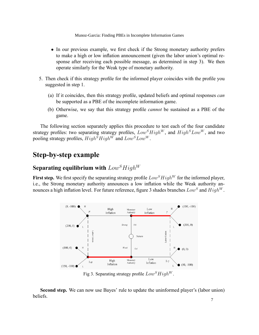- In our previous example, we first check if the Strong monetary authority prefers to make a high or low inflation announcement (given the labor union's optimal response after receiving each possible message, as determined in step 3). We then operate similarly for the Weak type of monetary authority.
- 5. Then check if this strategy profile for the informed player coincides with the profile you suggested in step 1.
	- (a) If it coincides, then this strategy profile, updated beliefs and optimal responses  $can$ be supported as a PBE of the incomplete information game.
	- (b) Otherwise, we say that this strategy profile *cannot* be sustained as a PBE of the game.

The following section separately applies this procedure to test each of the four candidate strategy profiles: two separating strategy profiles,  $Low^SHigh^W$ , and  $High^SLow^W$ , and two pooling strategy profiles,  $High^SHigh^W$  and  $Low^SLow^W$ .

## Step-by-step example

#### Separating equilibrium with  $Low<sup>S</sup>High<sup>W</sup>$

First step. We first specify the separating strategy profile  $Low^SHigh^W$  for the informed player, i.e., the Strong monetary authority announces a low inflation while the Weak authority announces a high inflation level. For future reference, figure 3 shades branches  $Low^S$  and  $High^W$ .



Fig 3. Separating strategy profile  $Low<sup>S</sup>High<sup>W</sup>$ .

Second step. We can now use Bayes' rule to update the uninformed player's (labor union) beliefs.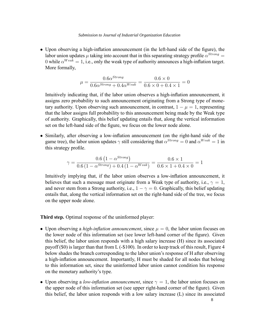$\bullet$  Upon observing a high-inflation announcement (in the left-hand side of the figure), the labor union updates  $\mu$  taking into account that in this separating strategy profile  $\alpha^{Strong} =$ 0 while  $\alpha^{Weak} = 1$ , i.e., only the weak type of authority announces a high-inflation target. More formally,

$$
\mu = \frac{0.6 \alpha^{Strong}}{0.6 \alpha^{Strong} + 0.4 \alpha^{Weak}} = \frac{0.6 \times 0}{0.6 \times 0 + 0.4 \times 1} = 0
$$

Intuitively indicating that, if the labor union observes a high-inflation announcement, it assigns zero probability to such announcement originating from a Strong type of monetary authority. Upon observing such announcement, in contrast,  $1 - \mu = 1$ , representing that the labor assigns full probability to this announcement being made by the Weak type of authority. Graphically, this belief updating entails that, along the vertical information set on the left-hand side of the figure, we focus on the lower node alone.

• Similarly, after observing a low-inflation announcement (on the right-hand side of the game tree), the labor union updates  $\gamma$  still considering that  $\alpha^{Strong} = 0$  and  $\alpha^{Weak} = 1$  in this strategy profile.

$$
\gamma = \frac{0.6 \left(1 - \alpha^{Strong}\right)}{0.6 \left(1 - \alpha^{Strong}\right) + 0.4 \left(1 - \alpha^{Weak}\right)} = \frac{0.6 \times 1}{0.6 \times 1 + 0.4 \times 0} = 1
$$

Intuitively implying that, if the labor union observes a low-inflation announcement, it believes that such a message must originate from a Weak type of authority, i.e.,  $\gamma = 1$ , and never stem from a Strong authority, i.e.,  $1 - \gamma = 0$ . Graphically, this belief updating entails that, along the vertical information set on the right-hand side of the tree, we focus on the upper node alone.

Third step. Optimal response of the uninformed player:

- Upon observing a *high-inflation announcement*, since  $\mu = 0$ , the labor union focuses on the lower node of this information set (see lower left-hand corner of the figure). Given this belief, the labor union responds with a high salary increase (H) since its associated payoff (\$0) is larger than that from L (-\$100). In order to keep track of this result, Figure 4 below shades the branch corresponding to the labor union's response of H after observing a high-inflation announcement. Importantly, H must be shaded for all nodes that belong to this information set, since the uninformed labor union cannot condition his response on the monetary authority's type.
- Upon observing a *low-inflation announcement*, since  $\gamma = 1$ , the labor union focuses on the upper node of this information set (see upper right-hand corner of the figure). Given this belief, the labor union responds with a low salary increase (L) since its associated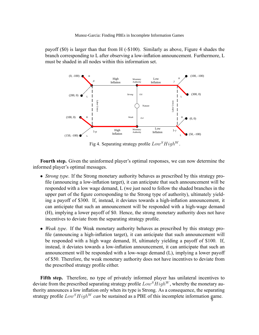payoff (\$0) is larger than that from H (-\$100). Similarly as above, Figure 4 shades the branch corresponding to  $L$  after observing a low-inflation announcement. Furthermore,  $L$ must be shaded in all nodes within this information set.



Fig 4. Separating strategy profile  $Low<sup>S</sup>High<sup>W</sup>$ .

Fourth step. Given the uninformed player's optimal responses, we can now determine the informed player's optimal messages.

- Strong type. If the Strong monetary authority behaves as prescribed by this strategy profile (announcing a low-inflation target), it can anticipate that such announcement will be responded with a low wage demand, L (we just need to follow the shaded branches in the upper part of the figure corresponding to the Strong type of authority), ultimately yielding a payoff of \$300. If, instead, it deviates towards a high-inflation announcement, it can anticipate that such an announcement will be responded with a high-wage demand (H), implying a lower payoff of \$0. Hence, the strong monetary authority does not have incentives to deviate from the separating strategy profile.
- Weak type. If the Weak monetary authority behaves as prescribed by this strategy profile (announcing a high-inflation target), it can anticipate that such announcement will be responded with a high wage demand, H, ultimately yielding a payoff of \$100. If, instead, it deviates towards a low-inflation announcement, it can anticipate that such an announcement will be responded with a low-wage demand (L), implying a lower payoff of \$50. Therefore, the weak monetary authority does not have incentives to deviate from the prescribed strategy profile either.

Fifth step. Therefore, no type of privately informed player has unilateral incentives to deviate from the prescribed separating strategy profile  $Low^SHigh^W$ , whereby the monetary authority announces a low inflation only when its type is Strong. As a consequence, the separating strategy profile  $Low<sup>S</sup>High<sup>W</sup> can$  be sustained as a PBE of this incomplete information game.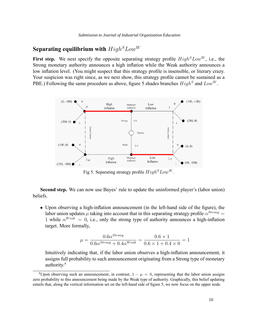### Separating equilibrium with  $High<sup>S</sup>Low<sup>W</sup>$

First step. We next specify the opposite separating strategy profile  $High^{S}Low^{W}$ , i.e., the Strong monetary authority announces a high inflation while the Weak authority announces a low inflation level. (You might suspect that this strategy profile is insensible, or literary crazy. Your suspicion was right since, as we next show, this strategy profile cannot be sustained as a PBE.) Following the same procedure as above, figure 5 shades branches  $High^S$  and  $Low^W$ .



Fig 5. Separating strategy profile  $High<sup>S</sup> Low<sup>W</sup>$ .

Second step. We can now use Bayes' rule to update the uninformed player's (labor union) beliefs.

 $\bullet$  Upon observing a high-inflation announcement (in the left-hand side of the figure), the labor union updates  $\mu$  taking into account that in this separating strategy profile  $\alpha^{Strong} =$ 1 while  $\alpha^{Weak} = 0$ , i.e., only the strong type of authority announces a high-inflation target. More formally,

$$
\mu = \frac{0.6 \alpha^{Strong}}{0.6 \alpha^{Strong} + 0.4 \alpha^{Weak}} = \frac{0.6 \times 1}{0.6 \times 1 + 0.4 \times 0} = 1
$$

Intuitively indicating that, if the labor union observes a high-inflation announcement, it assigns full probability to such announcement originating from a Strong type of monetary authority.<sup>4</sup>

<sup>&</sup>lt;sup>4</sup>Upon observing such an announcement, in contrast,  $1 - \mu = 0$ , representing that the labor union assigns zero probability to this announcement being made by the Weak type of authority. Graphically, this belief updating entails that, along the vertical information set on the left-hand side of figure 5, we now focus on the upper node.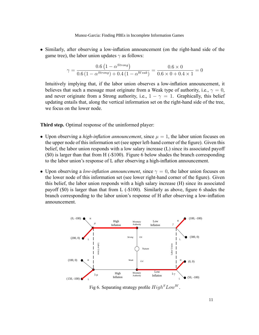• Similarly, after observing a low-inflation announcement (on the right-hand side of the game tree), the labor union updates  $\gamma$  as follows:

$$
\gamma = \frac{0.6 \left(1 - \alpha^{Strong}\right)}{0.6 \left(1 - \alpha^{Strong}\right) + 0.4 \left(1 - \alpha^{Weak}\right)} = \frac{0.6 \times 0}{0.6 \times 0 + 0.4 \times 1} = 0
$$

Intuitively implying that, if the labor union observes a low-inflation announcement, it believes that such a message must originate from a Weak type of authority, i.e.,  $\gamma = 0$ , and never originate from a Strong authority, i.e.,  $1 - \gamma = 1$ . Graphically, this belief updating entails that, along the vertical information set on the right-hand side of the tree, we focus on the lower node.

#### Third step. Optimal response of the uninformed player:

- Upon observing a high-inflation announcement, since  $\mu = 1$ , the labor union focuses on the upper node of this information set (see upper left-hand corner of the figure). Given this belief, the labor union responds with a low salary increase (L) since its associated payoff (\$0) is larger than that from H (-\$100). Figure 6 below shades the branch corresponding to the labor union's response of  $L$  after observing a high-inflation announcement.
- Upon observing a *low-inflation announcement*, since  $\gamma = 0$ , the labor union focuses on the lower node of this information set (see lower right-hand corner of the figure). Given this belief, the labor union responds with a high salary increase (H) since its associated payoff  $(\$0)$  is larger than that from L  $(-\$100)$ . Similarly as above, figure 6 shades the branch corresponding to the labor union's response of H after observing a low-inflation announcement.



Fig 6. Separating strategy profile  $High<sup>S</sup> Low<sup>W</sup>$ .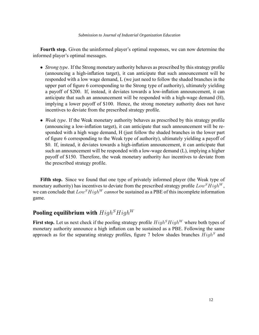Fourth step. Given the uninformed player's optimal responses, we can now determine the informed player's optimal messages.

- Strong type. If the Strong monetary authority behaves as prescribed by this strategy profile (announcing a high-inflation target), it can anticipate that such announcement will be responded with a low wage demand, L (we just need to follow the shaded branches in the upper part of figure 6 corresponding to the Strong type of authority), ultimately yielding a payoff of \$200. If, instead, it deviates towards a low-inflation announcement, it can anticipate that such an announcement will be responded with a high-wage demand (H), implying a lower payoff of \$100. Hence, the strong monetary authority does not have incentives to deviate from the prescribed strategy profile.
- $\bullet$  Weak type. If the Weak monetary authority behaves as prescribed by this strategy profile (announcing a low-inflation target), it can anticipate that such announcement will be responded with a high wage demand, H (just follow the shaded branches in the lower part of figure 6 corresponding to the Weak type of authority), ultimately yielding a payoff of \$0. If, instead, it deviates towards a high-inflation announcement, it can anticipate that such an announcement will be responded with a low-wage demand (L), implying a higher payoff of \$150. Therefore, the weak monetary authority has incentives to deviate from the prescribed strategy profile.

Fifth step. Since we found that one type of privately informed player (the Weak type of monetary authority) has incentives to deviate from the prescribed strategy profile  $Low^SHigh^W$ , we can conclude that  $Low<sup>S</sup>High<sup>W</sup> cannot be sustained as a PBE of this incomplete information$ game.

#### Pooling equilibrium with  $High<sup>S</sup>High<sup>W</sup>$

First step. Let us next check if the pooling strategy profile  $High^S High^W$  where both types of monetary authority announce a high inflation can be sustained as a PBE. Following the same approach as for the separating strategy profiles, figure 7 below shades branches  $High<sup>S</sup>$  and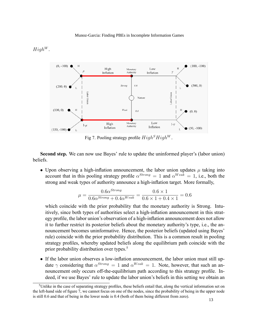### $High^W$ .



Fig 7. Pooling strategy profile  $High<sup>S</sup>High<sup>W</sup>$ .

Second step. We can now use Bayes' rule to update the uninformed player's (labor union) beliefs.

• Upon observing a high-inflation announcement, the labor union updates  $\mu$  taking into account that in this pooling strategy profile  $\alpha^{Strong} = 1$  and  $\alpha^{Weak} = 1$ , i.e., both the strong and weak types of authority announce a high-inflation target. More formally,

$$
\mu = \frac{0.6\alpha^{Strong}}{0.6\alpha^{Strong} + 0.4\alpha^{Weak}} = \frac{0.6 \times 1}{0.6 \times 1 + 0.4 \times 1} = 0.6
$$

which coincide with the prior probability that the monetary authority is Strong. Intuitively, since both types of authorities select a high-inflation announcement in this strategy profile, the labor union's observation of a high-inflation announcement does not allow it to further restrict its posterior beliefs about the monetary authority's type, i.e., the announcement becomes uninformative. Hence, the posterior beliefs (updated using Bayes' rule) coincide with the prior probability distribution. This is a common result in pooling strategy profiles, whereby updated beliefs along the equilibrium path coincide with the prior probability distribution over types.<sup>5</sup>

• If the labor union observes a low-inflation announcement, the labor union must still update  $\gamma$  considering that  $\alpha^{Strong} = 1$  and  $\alpha^{Weak} = 1$ . Note, however, that such an announcement only occurs off-the-equilibrium path according to this strategy profile. Indeed, if we use Bayes' rule to update the labor union's beliefs in this setting we obtain an

 $5$ Unlike in the case of separating strategy profiles, these beliefs entail that, along the vertical information set on the left-hand side of figure 7, we cannot focus on one of the nodes, since the probability of being in the upper node is still 0.6 and that of being in the lower node is 0.4 (both of them being different from zero).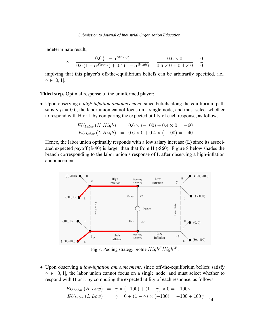indeterminate result,

$$
\gamma = \frac{0.6 \left(1 - \alpha^{Strong}\right)}{0.6 \left(1 - \alpha^{Strong}\right) + 0.4 \left(1 - \alpha^{Weak}\right)} = \frac{0.6 \times 0}{0.6 \times 0 + 0.4 \times 0} = \frac{0}{0}
$$

implying that this player's off-the-equilibrium beliefs can be arbitrarily specified, i.e.,  $\gamma \in [0, 1].$ 

Third step. Optimal response of the uninformed player:

• Upon observing a *high-inflation announcement*, since beliefs along the equilibrium path satisfy  $\mu = 0.6$ , the labor union cannot focus on a single node, and must select whether to respond with H or L by comparing the expected utility of each response, as follows.

$$
EU_{Labor} (H|High) = 0.6 \times (-100) + 0.4 \times 0 = -60
$$
  

$$
EU_{Labor} (L|High) = 0.6 \times 0 + 0.4 \times (-100) = -40
$$

Hence, the labor union optimally responds with a low salary increase (L) since its associated expected payoff (\$-40) is larger than that from H (-\$60). Figure 8 below shades the branch corresponding to the labor union's response of  $L$  after observing a high-inflation announcement.



Fig 8. Pooling strategy profile  $High<sup>S</sup>High<sup>W</sup>$ .

• Upon observing a low-inflation announcement, since off-the-equilibrium beliefs satisfy  $\gamma \in [0, 1]$ , the labor union cannot focus on a single node, and must select whether to respond with H or L by computing the expected utility of each response, as follows.

$$
EU_{Labor} (H|Low) = \gamma \times (-100) + (1 - \gamma) \times 0 = -100\gamma
$$
  

$$
EU_{Labor} (L|Low) = \gamma \times 0 + (1 - \gamma) \times (-100) = -100 + 100\gamma
$$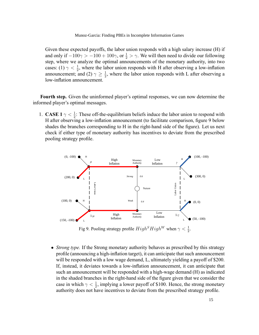Given these expected payoffs, the labor union responds with a high salary increase (H) if and only if  $-100\gamma > -100 + 100\gamma$ , or  $\frac{1}{2} > \gamma$ . We will then need to divide our following step, where we analyze the optimal announcements of the monetary authority, into two cases: (1)  $\gamma < \frac{1}{2}$ , where the labor union responds with H after observing a low-inflation announcement; and (2)  $\gamma \geq \frac{1}{2}$  $\frac{1}{2}$ , where the labor union responds with L after observing a low-inflation announcement.

Fourth step. Given the uninformed player's optimal responses, we can now determine the informed player's optimal messages.

1. **CASE 1**  $\gamma < \frac{1}{2}$ : These off-the-equilibrium beliefs induce the labor union to respond with H after observing a low-inflation announcement (to facilitate comparison, figure 9 below shades the branches corresponding to H in the right-hand side of the figure). Let us next check if either type of monetary authority has incentives to deviate from the prescribed pooling strategy profile.



Fig 9. Pooling strategy profile  $High<sup>S</sup>High<sup>W</sup>$  when  $\gamma < \frac{1}{2}$ .

• Strong type. If the Strong monetary authority behaves as prescribed by this strategy profile (announcing a high-inflation target), it can anticipate that such announcement will be responded with a low wage demand, L, ultimately yielding a payoff of \$200. If, instead, it deviates towards a low-inflation announcement, it can anticipate that such an announcement will be responded with a high-wage demand (H) as indicated in the shaded branches in the right-hand side of the figure given that we consider the case in which  $\gamma < \frac{1}{2}$ , implying a lower payoff of \$100. Hence, the strong monetary authority does not have incentives to deviate from the prescribed strategy profile.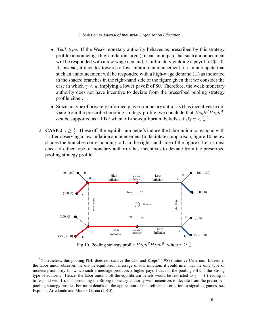- $\bullet$  *Weak type.* If the Weak monetary authority behaves as prescribed by this strategy profile (announcing a high-inflation target), it can anticipate that such announcement will be responded with a low wage demand, L, ultimately yielding a payoff of \$150. If, instead, it deviates towards a low-inflation announcement, it can anticipate that such an announcement will be responded with a high-wage demand (H) as indicated in the shaded branches in the right-hand side of the figure given that we consider the case in which  $\gamma < \frac{1}{2}$ , implying a lower payoff of \$0. Therefore, the weak monetary authority does not have incentive to deviate from the prescribed pooling strategy profile either.
- Since no type of privately informed player (monetary authority) has incentives to deviate from the prescribed pooling strategy profile, we conclude that  $High<sup>S</sup>High<sup>W</sup>$ *can* be supported as a PBE when off-the-equilibrium beliefs satisfy  $\gamma < \frac{1}{2}$ .<sup>6</sup>
- 2. CASE 2  $\gamma \geq \frac{1}{2}$  $\frac{1}{2}$ : These off-the-equilibrium beliefs induce the labor union to respond with L after observing a low-inflation announcement (to facilitate comparison, figure 10 below shades the branches corresponding to  $L$  in the right-hand side of the figure). Let us next check if either type of monetary authority has incentives to deviate from the prescribed pooling strategy profile.



Fig 10. Pooling strategy profile  $High^SHigh^W$  when  $\gamma \geq \frac{1}{2}$  $\frac{1}{2}$ .

<sup>&</sup>lt;sup>6</sup>Nonetheless, this pooling PBE does not survive the Cho and Kreps' (1987) Intuitive Criterion. Indeed, if the labor union observes the off-the-equilibrium message of low inflation, it could infer that the only type of monetary authority for which such a message produces a higher payoff than in the pooling PBE is the Strong type of authority. Hence, the labor union's off-the-equilibrium beliefs would be restricted to  $\gamma = 1$  (leading it to respond with L), thus providing the Strong monetary authority with incentives to deviate from the prescribed pooling strategy profile. For more details on the application of this refinement criterion to signaling games, see Espinola-Arredondo and Munoz-Garcia (2010).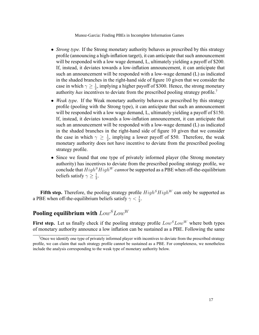- Strong type. If the Strong monetary authority behaves as prescribed by this strategy profile (announcing a high-inflation target), it can anticipate that such announcement will be responded with a low wage demand, L, ultimately yielding a payoff of \$200. If, instead, it deviates towards a low-inflation announcement, it can anticipate that such an announcement will be responded with a low-wage demand (L) as indicated in the shaded branches in the right-hand side of figure 10 given that we consider the case in which  $\gamma \geq \frac{1}{2}$  $\frac{1}{2}$ , implying a higher payoff of \$300. Hence, the strong monetary authority has incentives to deviate from the prescribed pooling strategy profile.<sup>7</sup>
- Weak type. If the Weak monetary authority behaves as prescribed by this strategy profile (pooling with the Strong type), it can anticipate that such an announcement will be responded with a low wage demand, L, ultimately yielding a payoff of \$150. If, instead, it deviates towards a low-inflation announcement, it can anticipate that such an announcement will be responded with a low-wage demand (L) as indicated in the shaded branches in the right-hand side of figure 10 given that we consider the case in which  $\gamma \geq \frac{1}{2}$  $\frac{1}{2}$ , implying a lower payoff of \$50. Therefore, the weak monetary authority does not have incentive to deviate from the prescribed pooling strategy profile.
- Since we found that one type of privately informed player (the Strong monetary authority) has incentives to deviate from the prescribed pooling strategy profile, we conclude that  $High<sup>S</sup>High<sup>W</sup> cannot be supported as a PBE when off-the-equilibrium$ beliefs satisfy  $\gamma \geq \frac{1}{2}$  $\frac{1}{2}$ .

Fifth step. Therefore, the pooling strategy profile  $High<sup>S</sup> High<sup>W</sup>$  can only be supported as a PBE when off-the-equilibrium beliefs satisfy  $\gamma < \frac{1}{2}$ .

### Pooling equilibrium with  $Low<sup>S</sup>Low<sup>W</sup>$

First step. Let us finally check if the pooling strategy profile  $Low^SLow^W$  where both types of monetary authority announce a low inflation can be sustained as a PBE. Following the same

<sup>&</sup>lt;sup>7</sup>Once we identify one type of privately informed player with incentives to deviate from the prescribed strategy profile, we can claim that such strategy profile cannot be sustained as a PBE. For completeness, we nonetheless include the analysis corresponding to the weak type of monetary authority below.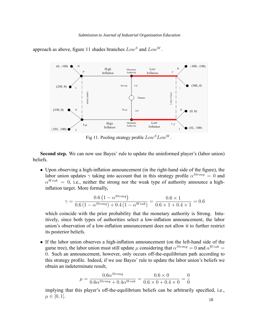#### *Submission to Journal of Industrial Organization Education*



approach as above, figure 11 shades branches  $Low^S$  and  $Low^W$ .

Fig 11. Pooling strategy profile  $Low^SLow^W$ .

Second step. We can now use Bayes' rule to update the uninformed player's (labor union) beliefs.

• Upon observing a high-inflation announcement (in the right-hand side of the figure), the labor union updates  $\gamma$  taking into account that in this strategy profile  $\alpha^{Strong}=0$  and  $\alpha^{Weak} = 0$ , i.e., neither the strong nor the weak type of authority announce a highinflation target. More formally,

$$
\gamma = \frac{0.6 \left(1 - \alpha^{Strong}\right)}{0.6 \left(1 - \alpha^{Strong}\right) + 0.4 \left(1 - \alpha^{Weak}\right)} = \frac{0.6 \times 1}{0.6 \times 1 + 0.4 \times 1} = 0.6
$$

which coincide with the prior probability that the monetary authority is Strong. Intuitively, since both types of authorities select a low-inflation announcement, the labor union's observation of a low-inflation announcement does not allow it to further restrict its posterior beliefs.

• If the labor union observes a high-inflation announcement (on the left-hand side of the game tree), the labor union must still update  $\mu$  considering that  $\alpha^{Strong}=0$  and  $\alpha^{Weak}=0$ 0. Such an announcement, however, only occurs off-the-equilibrium path according to this strategy profile. Indeed, if we use Bayes' rule to update the labor union's beliefs we obtain an indeterminate result,

$$
\mu = \frac{0.6 \alpha^{Strong}}{0.6 \alpha^{Strong} + 0.4 \alpha^{Weak}} = \frac{0.6 \times 0}{0.6 \times 0 + 0.4 \times 0} = \frac{0}{0}
$$

implying that this player's off-the-equilibrium beliefs can be arbitrarily specified, i.e.,  $\mu \in [0, 1].$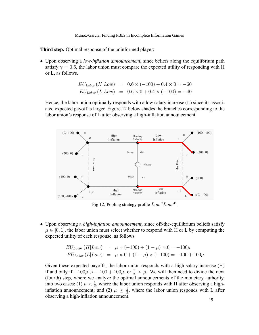Third step. Optimal response of the uninformed player:

• Upon observing a *low-inflation announcement*, since beliefs along the equilibrium path satisfy  $\gamma = 0.6$ , the labor union must compare the expected utility of responding with H or L, as follows.

$$
EU_{Labor} (H|Low) = 0.6 \times (-100) + 0.4 \times 0 = -60
$$
  

$$
EU_{Labor} (L|Low) = 0.6 \times 0 + 0.4 \times (-100) = -40
$$

Hence, the labor union optimally responds with a low salary increase (L) since its associated expected payoff is larger. Figure 12 below shades the branches corresponding to the labor union's response of  $L$  after observing a high-inflation announcement.



Fig 12. Pooling strategy profile  $Low^SLow^W$ .

 $\bullet$  Upon observing a *high-inflation announcement*, since off-the-equilibrium beliefs satisfy  $\mu \in [0, 1]$ , the labor union must select whether to respond with H or L by computing the expected utility of each response, as follows.

$$
EU_{Labor} (H|Low) = \mu \times (-100) + (1 - \mu) \times 0 = -100\mu
$$
  

$$
EU_{Labor} (L|Low) = \mu \times 0 + (1 - \mu) \times (-100) = -100 + 100\mu
$$

Given these expected payoffs, the labor union responds with a high salary increase (H) if and only if  $-100\mu$   $> -100 + 100\mu$ , or  $\frac{1}{2}$   $> \mu$ . We will then need to divide the next (fourth) step, where we analyze the optimal announcements of the monetary authority, into two cases: (1)  $\mu < \frac{1}{2}$ , where the labor union responds with H after observing a highinflation announcement; and (2)  $\mu \geq \frac{1}{2}$  $\frac{1}{2}$ , where the labor union responds with L after observing a high-inflation announcement.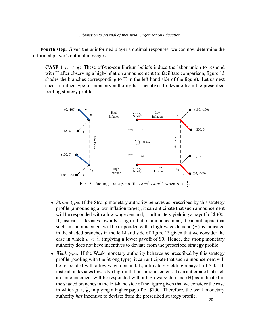Fourth step. Given the uninformed player's optimal responses, we can now determine the informed player's optimal messages.

1. **CASE 1**  $\mu < \frac{1}{2}$ : These off-the-equilibrium beliefs induce the labor union to respond with H after observing a high-inflation announcement (to facilitate comparison, figure 13 shades the branches corresponding to H in the left-hand side of the figure). Let us next check if either type of monetary authority has incentives to deviate from the prescribed pooling strategy profile.



Fig 13. Pooling strategy profile  $Low^SLow^W$  when  $\mu < \frac{1}{2}$ .

- Strong type. If the Strong monetary authority behaves as prescribed by this strategy profile (announcing a low-inflation target), it can anticipate that such announcement will be responded with a low wage demand, L, ultimately yielding a payoff of \$300. If, instead, it deviates towards a high-inflation announcement, it can anticipate that such an announcement will be responded with a high-wage demand (H) as indicated in the shaded branches in the left-hand side of figure 13 given that we consider the case in which  $\mu < \frac{1}{2}$ , implying a lower payoff of \$0. Hence, the strong monetary authority does not have incentives to deviate from the prescribed strategy profile.
- Weak type. If the Weak monetary authority behaves as prescribed by this strategy profile (pooling with the Strong type), it can anticipate that such announcement will be responded with a low wage demand, L, ultimately yielding a payoff of \$50. If, instead, it deviates towards a high-inflation announcement, it can anticipate that such an announcement will be responded with a high-wage demand (H) as indicated in the shaded branches in the left-hand side of the figure given that we consider the case in which  $\mu < \frac{1}{2}$ , implying a higher payoff of \$100. Therefore, the weak monetary authority has incentive to deviate from the prescribed strategy profile.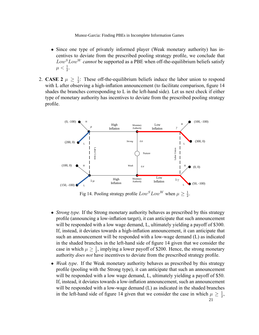- Since one type of privately informed player (Weak monetary authority) has incentives to deviate from the prescribed pooling strategy profile, we conclude that  $Low<sup>S</sup> Low<sup>W</sup> cannot be supported as a PBE when off-the-equilibrium beliefs satisfy$  $\mu < \frac{1}{2}$ .
- 2. **CASE 2**  $\mu \geq \frac{1}{2}$  $\frac{1}{2}$ : These off-the-equilibrium beliefs induce the labor union to respond with L after observing a high-inflation announcement (to facilitate comparison, figure 14 shades the branches corresponding to L in the left-hand side). Let us next check if either type of monetary authority has incentives to deviate from the prescribed pooling strategy profile.



Fig 14. Pooling strategy profile  $Low^SLow^W$  when  $\mu \ge \frac{1}{2}$  $\frac{1}{2}$ .

- Strong type. If the Strong monetary authority behaves as prescribed by this strategy profile (announcing a low-inflation target), it can anticipate that such announcement will be responded with a low wage demand, L, ultimately yielding a payoff of \$300. If, instead, it deviates towards a high-inflation announcement, it can anticipate that such an announcement will be responded with a low-wage demand (L) as indicated in the shaded branches in the left-hand side of figure 14 given that we consider the case in which  $\mu \geq \frac{1}{2}$  $\frac{1}{2}$ , implying a lower payoff of \$200. Hence, the strong monetary authority does not have incentives to deviate from the prescribed strategy profile.
- $\bullet$  *Weak type.* If the Weak monetary authority behaves as prescribed by this strategy profile (pooling with the Strong type), it can anticipate that such an announcement will be responded with a low wage demand, L, ultimately yielding a payoff of \$50. If, instead, it deviates towards a low-inflation announcement, such an announcement will be responded with a low-wage demand (L) as indicated in the shaded branches in the left-hand side of figure 14 given that we consider the case in which  $\mu \geq \frac{1}{2}$  $\frac{1}{2}$ , 21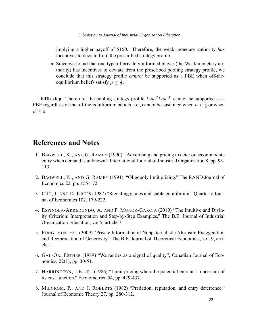implying a higher payoff of \$150. Therefore, the weak monetary authority has incentives to deviate from the prescribed strategy profile.

• Since we found that one type of privately informed player (the Weak monetary authority) has incentives to deviate from the prescribed pooling strategy profile, we conclude that this strategy profile *cannot* be supported as a PBE when off-theequilibrium beliefs satisfy  $\mu \geq \frac{1}{2}$  $\frac{1}{2}$ .

Fifth step. Therefore, the pooling strategy profile  $Low^SLow^W$  cannot be supported as a PBE regardless of the off-the-equilibrium beliefs, i.e., cannot be sustained when  $\mu < \frac{1}{2}$  or when  $\mu \geq \frac{1}{2}$  $\frac{1}{2}$ .

### References and Notes

- 1. BAGWELL, K., AND G. RAMEY (1990). "Advertising and pricing to deter or accommodate entry when demand is unknown." International Journal of Industrial Organization 8, pp. 93-113.
- 2. BAGWELL, K., AND G. RAMEY (1991). "Oligopoly limit pricing." The RAND Journal of Economics 22, pp. 155-172.
- 3. CHO, I. AND D. KREPS (1987) "Signaling games and stable equilibrium," Quarterly Journal of Economics 102, 179-222.
- 4. ESPINOLA-ARREDONDO, A. AND F. MUNOZ-GARCIA (2010) "The Intuitive and Divinity Criterion: Interpretation and Step-by-Step Examples," The B.E. Journal of Industrial Organization Education, vol 5, article 7.
- 5. FONG, YUK-FAI (2009) "Private Information of Nonpaternalistic Altruism: Exaggeration and Reciprocation of Generosity," The B.E. Journal of Theoretical Economics, vol. 9, article 1.
- 6. GAL-OR, ESTHER (1989) "Warranties as a signal of quality", Canadian Journal of Economics, 22(1), pp. 30-51.
- 7. HARRINGTON, J.E. JR.. (1986) "Limit pricing when the potential entrant is uncertain of its cost function." Econometrica 54, pp. 429-437.
- 8. MILGROM, P., AND J. ROBERTS (1982) "Predation, reputation, and entry deterrence." Journal of Economic Theory 27, pp. 280-312.